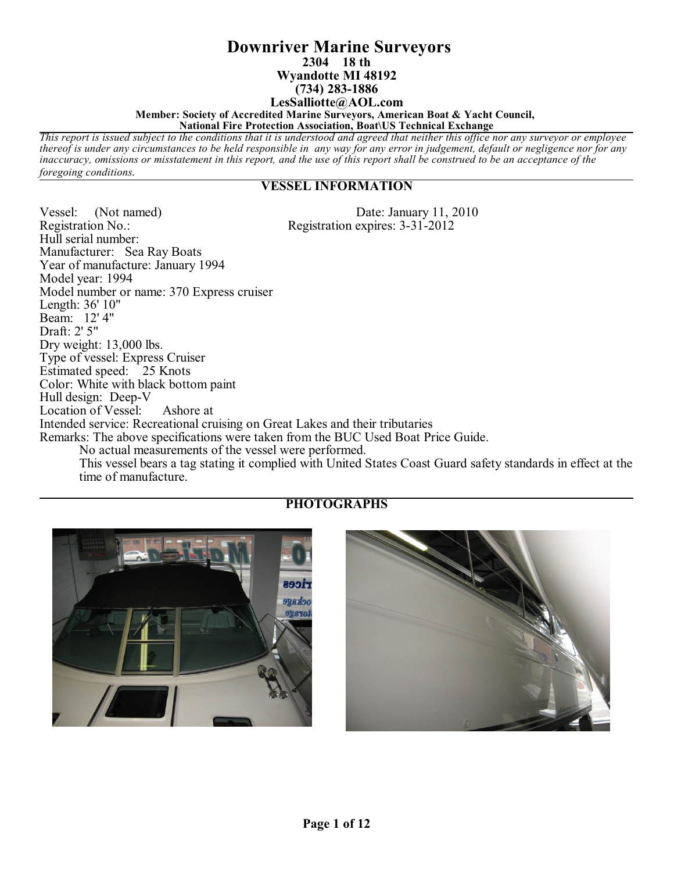#### **Downriver Marine Surveyors 2304 18 th Wyandotte MI 48192 (734) 283-1886 LesSalliotte@AOL.com Member: Society of Accredited Marine Surveyors, American Boat & Yacht Council,**

**National Fire Protection Association, Boat\US Technical Exchange** *This report is issued subject to the conditions that it is understood and agreed that neither this office nor any surveyor or employee*

*thereof is under any circumstances to be held responsible in any way for any error in judgement, default or negligence nor for any inaccuracy, omissions or misstatement in this report, and the use of this report shall be construed to be an acceptance of the foregoing conditions.*

## **VESSEL INFORMATION**

Vessel: (Not named)<br>
Registration No.:<br>
Registration expires: 3-31-2012 Registration expires: 3-31-2012

Hull serial number: Manufacturer: Sea Ray Boats Year of manufacture: January 1994 Model year: 1994 Model number or name: 370 Express cruiser Length: 36' 10" Beam: 12' 4" Draft: 2' 5" Dry weight: 13,000 lbs. Type of vessel: Express Cruiser Estimated speed: 25 Knots Color: White with black bottom paint Hull design: Deep-V Location of Vessel: Ashore at Intended service: Recreational cruising on Great Lakes and their tributaries Remarks: The above specifications were taken from the BUC Used Boat Price Guide. No actual measurements of the vessel were performed. This vessel bears a tag stating it complied with United States Coast Guard safety standards in effect at the time of manufacture.



# **PHOTOGRAPHS**

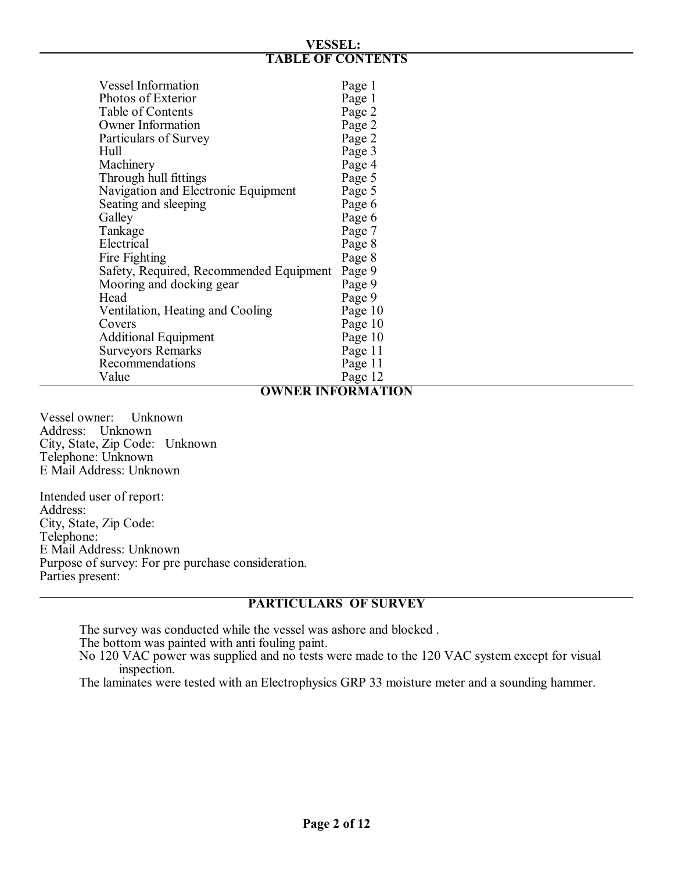#### **VESSEL: TABLE OF CONTENTS**

| <b>Vessel Information</b>               |         |
|-----------------------------------------|---------|
|                                         | Page 1  |
| Photos of Exterior                      | Page 1  |
| Table of Contents                       | Page 2  |
| <b>Owner Information</b>                | Page 2  |
| Particulars of Survey                   | Page 2  |
| Hull                                    | Page 3  |
| Machinery                               | Page 4  |
| Through hull fittings                   | Page 5  |
| Navigation and Electronic Equipment     | Page 5  |
| Seating and sleeping                    | Page 6  |
| Galley                                  | Page 6  |
| Tankage                                 | Page 7  |
| Electrical                              | Page 8  |
| Fire Fighting                           | Page 8  |
| Safety, Required, Recommended Equipment | Page 9  |
| Mooring and docking gear                | Page 9  |
| Head                                    | Page 9  |
| Ventilation, Heating and Cooling        | Page 10 |
| Covers                                  | Page 10 |
| <b>Additional Equipment</b>             | Page 10 |
| <b>Surveyors Remarks</b>                | Page 11 |
| Recommendations                         | Page 11 |
| Value                                   | Page 12 |

# **OWNER INFORMATION**

Vessel owner: Unknown Address: Unknown City, State, Zip Code: Unknown Telephone: Unknown E Mail Address: Unknown

Intended user of report: Address: City, State, Zip Code: Telephone: E Mail Address: Unknown Purpose of survey: For pre purchase consideration. Parties present:

# **PARTICULARS OF SURVEY**

The survey was conducted while the vessel was ashore and blocked .

The bottom was painted with anti fouling paint.

No 120 VAC power was supplied and no tests were made to the 120 VAC system except for visual inspection.

The laminates were tested with an Electrophysics GRP 33 moisture meter and a sounding hammer.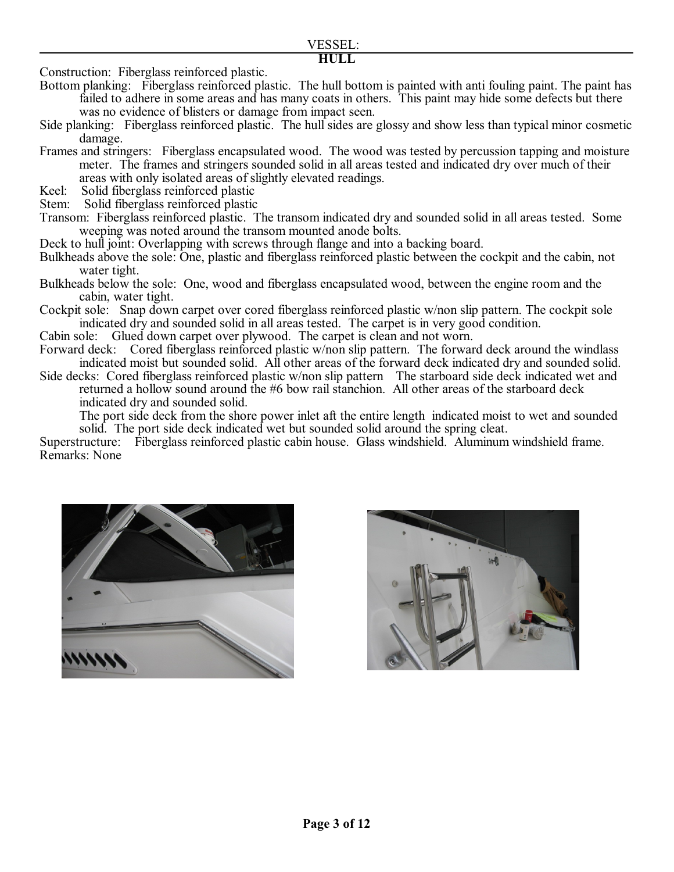```
HULL
```
Construction: Fiberglass reinforced plastic.

Bottom planking: Fiberglass reinforced plastic. The hull bottom is painted with anti fouling paint. The paint has failed to adhere in some areas and has many coats in others. This paint may hide some defects but there was no evidence of blisters or damage from impact seen.

Side planking: Fiberglass reinforced plastic. The hull sides are glossy and show less than typical minor cosmetic damage.

Frames and stringers: Fiberglass encapsulated wood. The wood was tested by percussion tapping and moisture meter. The frames and stringers sounded solid in all areas tested and indicated dry over much of their areas with only isolated areas of slightly elevated readings.

Keel: Solid fiberglass reinforced plastic<br>Stem: Solid fiberglass reinforced plastic

Solid fiberglass reinforced plastic

Transom: Fiberglass reinforced plastic. The transom indicated dry and sounded solid in all areas tested. Some weeping was noted around the transom mounted anode bolts.

Deck to hull joint: Overlapping with screws through flange and into a backing board.

Bulkheads above the sole: One, plastic and fiberglass reinforced plastic between the cockpit and the cabin, not water tight.

Bulkheads below the sole: One, wood and fiberglass encapsulated wood, between the engine room and the cabin, water tight.

Cockpit sole: Snap down carpet over cored fiberglass reinforced plastic w/non slip pattern. The cockpit sole indicated dry and sounded solid in all areas tested. The carpet is in very good condition.

Cabin sole: Glued down carpet over plywood. The carpet is clean and not worn.<br>Forward deck: Cored fiberglass reinforced plastic w/non slip pattern. The forwar

Cored fiberglass reinforced plastic w/non slip pattern. The forward deck around the windlass indicated moist but sounded solid. All other areas of the forward deck indicated dry and sounded solid.

Side decks: Cored fiberglass reinforced plastic w/non slip pattern The starboard side deck indicated wet and returned a hollow sound around the #6 bow rail stanchion. All other areas of the starboard deck indicated dry and sounded solid.

The port side deck from the shore power inlet aft the entire length indicated moist to wet and sounded solid. The port side deck indicated wet but sounded solid around the spring cleat.

Superstructure: Fiberglass reinforced plastic cabin house. Glass windshield. Aluminum windshield frame. Remarks: None



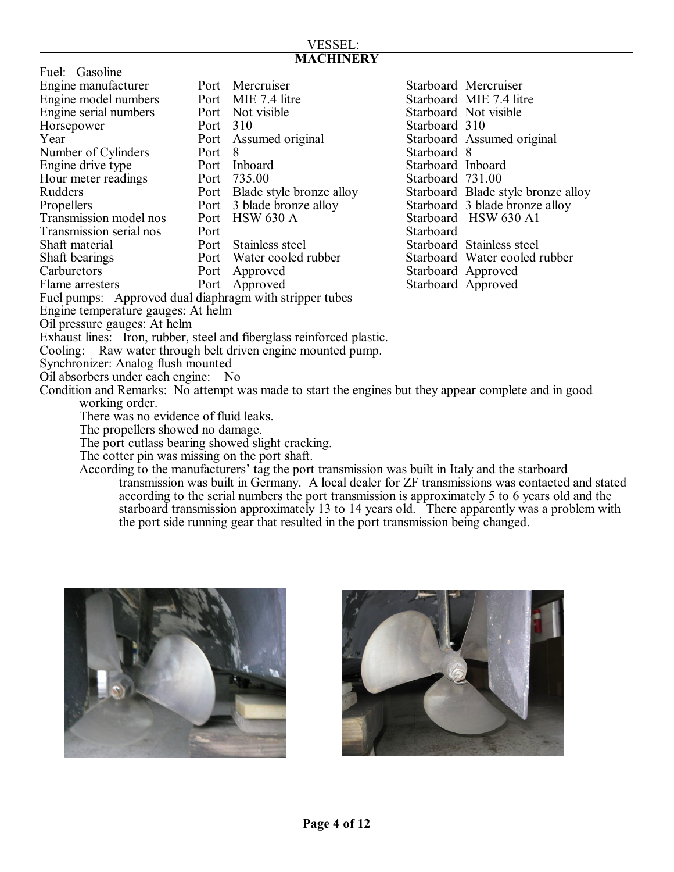#### VESSEL: **MACHINERY**

| Fuel: Gasoline                                          |      |                          |           |
|---------------------------------------------------------|------|--------------------------|-----------|
| Engine manufacturer                                     |      | Port Mercruiser          | Starboard |
| Engine model numbers                                    | Port | MIE 7.4 litre            | Starboard |
| Engine serial numbers                                   | Port | Not visible              | Starboard |
| Horsepower                                              | Port | 310                      | Starboard |
| Year                                                    | Port | Assumed original         | Starboard |
| Number of Cylinders                                     | Port | -8                       | Starboard |
| Engine drive type                                       | Port | Inboard                  | Starboard |
| Hour meter readings                                     | Port | 735.00                   | Starboard |
| Rudders                                                 | Port | Blade style bronze alloy | Starboard |
| Propellers                                              | Port | 3 blade bronze alloy     | Starboard |
| Transmission model nos                                  | Port | <b>HSW 630 A</b>         | Starboard |
| Transmission serial nos                                 | Port |                          | Starboard |
| Shaft material                                          | Port | Stainless steel          | Starboard |
| Shaft bearings                                          |      | Port Water cooled rubber | Starboard |
| Carburetors                                             | Port | Approved                 | Starboard |
| Flame arresters                                         | Port | Approved                 | Starboard |
| Fuel pumps: Approved dual diaphragm with stripper tubes |      |                          |           |

Starboard Mercruiser Starboard MIE 7.4 litre Starboard Not visible Starboard 310 Starboard Assumed original Starboard 8 Starboard Inboard Starboard 731.00 alloy Starboard Blade style bronze alloy y Starboard 3 blade bronze alloy Starboard HSW 630 A1<br>Starboard Starboard Stainless steel er Starboard Water cooled rubber Starboard Approved Starboard Approved

Engine temperature gauges: At helm

Oil pressure gauges: At helm

Exhaust lines: Iron, rubber, steel and fiberglass reinforced plastic.

Cooling: Raw water through belt driven engine mounted pump.

Synchronizer: Analog flush mounted

Oil absorbers under each engine: No

Condition and Remarks: No attempt was made to start the engines but they appear complete and in good working order.

There was no evidence of fluid leaks.

The propellers showed no damage.

The port cutlass bearing showed slight cracking.

The cotter pin was missing on the port shaft.

According to the manufacturers' tag the port transmission was built in Italy and the starboard transmission was built in Germany. A local dealer for ZF transmissions was contacted and stated according to the serial numbers the port transmission is approximately 5 to 6 years old and the starboard transmission approximately 13 to 14 years old. There apparently was a problem with the port side running gear that resulted in the port transmission being changed.



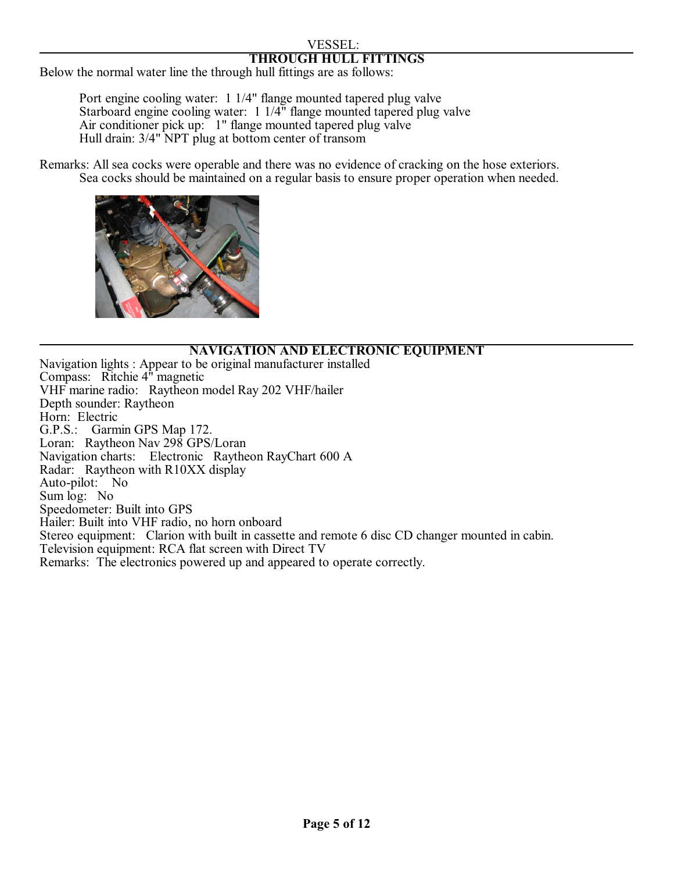#### VESSEL: **THROUGH HULL FITTINGS**

Below the normal water line the through hull fittings are as follows:

Port engine cooling water: 1 1/4" flange mounted tapered plug valve Starboard engine cooling water: 1 1/4" flange mounted tapered plug valve Air conditioner pick up: 1" flange mounted tapered plug valve Hull drain: 3/4" NPT plug at bottom center of transom

Remarks: All sea cocks were operable and there was no evidence of cracking on the hose exteriors. Sea cocks should be maintained on a regular basis to ensure proper operation when needed.



#### **NAVIGATION AND ELECTRONIC EQUIPMENT**

Navigation lights : Appear to be original manufacturer installed Compass: Ritchie 4" magnetic VHF marine radio: Raytheon model Ray 202 VHF/hailer Depth sounder: Raytheon Horn: Electric G.P.S.: Garmin GPS Map 172. Loran: Raytheon Nav 298 GPS/Loran Navigation charts: Electronic Raytheon RayChart 600 A Radar: Raytheon with R10XX display Auto-pilot: No Sum log: No Speedometer: Built into GPS Hailer: Built into VHF radio, no horn onboard Stereo equipment: Clarion with built in cassette and remote 6 disc CD changer mounted in cabin. Television equipment: RCA flat screen with Direct TV Remarks: The electronics powered up and appeared to operate correctly.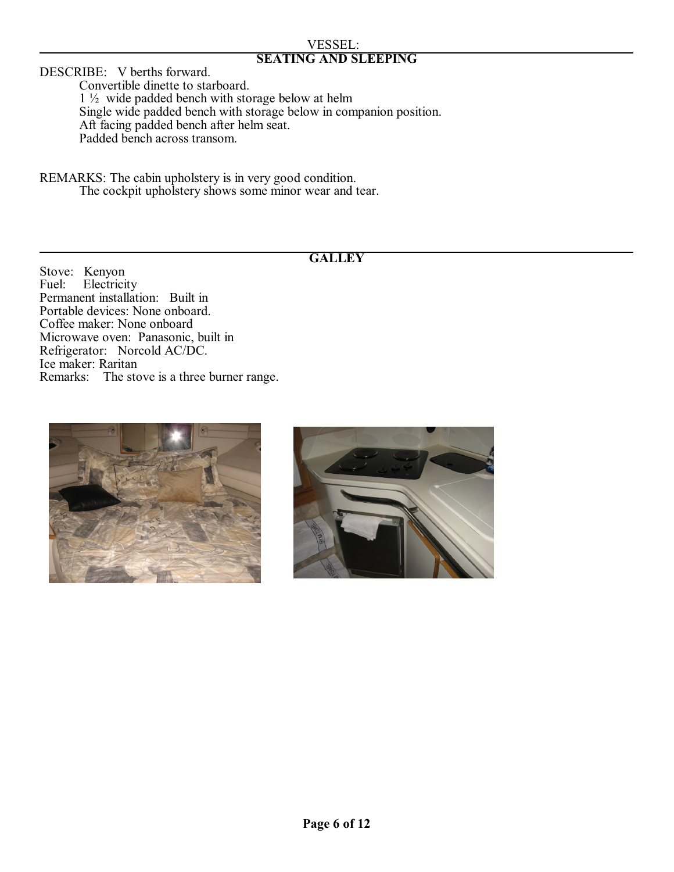#### VESSEL: **SEATING AND SLEEPING**

DESCRIBE: V berths forward.

Convertible dinette to starboard. 1 ½ wide padded bench with storage below at helm Single wide padded bench with storage below in companion position. Aft facing padded bench after helm seat. Padded bench across transom.

REMARKS: The cabin upholstery is in very good condition. The cockpit upholstery shows some minor wear and tear.

## **GALLEY**

Stove: Kenyon<br>Fuel: Electrici Electricity Permanent installation: Built in Portable devices: None onboard. Coffee maker: None onboard Microwave oven: Panasonic, built in Refrigerator: Norcold AC/DC. Ice maker: Raritan Remarks: The stove is a three burner range.



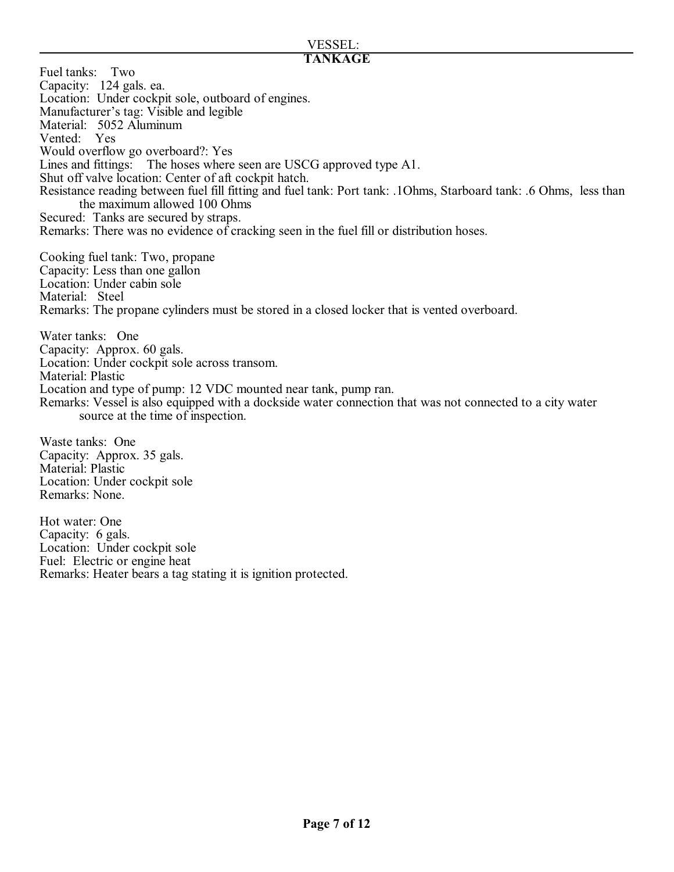#### VESSEL: **TANKAGE**

Fuel tanks: Two Capacity: 124 gals. ea. Location: Under cockpit sole, outboard of engines. Manufacturer's tag: Visible and legible Material: 5052 Aluminum Vented: Yes Would overflow go overboard?: Yes Lines and fittings: The hoses where seen are USCG approved type A1. Shut off valve location: Center of aft cockpit hatch. Resistance reading between fuel fill fitting and fuel tank: Port tank: .1Ohms, Starboard tank: .6 Ohms, less than the maximum allowed 100 Ohms Secured: Tanks are secured by straps. Remarks: There was no evidence of cracking seen in the fuel fill or distribution hoses. Cooking fuel tank: Two, propane Capacity: Less than one gallon Location: Under cabin sole Material: Steel Remarks: The propane cylinders must be stored in a closed locker that is vented overboard. Water tanks: One Capacity: Approx. 60 gals. Location: Under cockpit sole across transom. Material: Plastic Location and type of pump: 12 VDC mounted near tank, pump ran. Remarks: Vessel is also equipped with a dockside water connection that was not connected to a city water source at the time of inspection. Waste tanks: One Capacity: Approx. 35 gals. Material: Plastic Location: Under cockpit sole

Hot water: One Capacity: 6 gals. Location: Under cockpit sole Fuel: Electric or engine heat Remarks: Heater bears a tag stating it is ignition protected.

Remarks: None.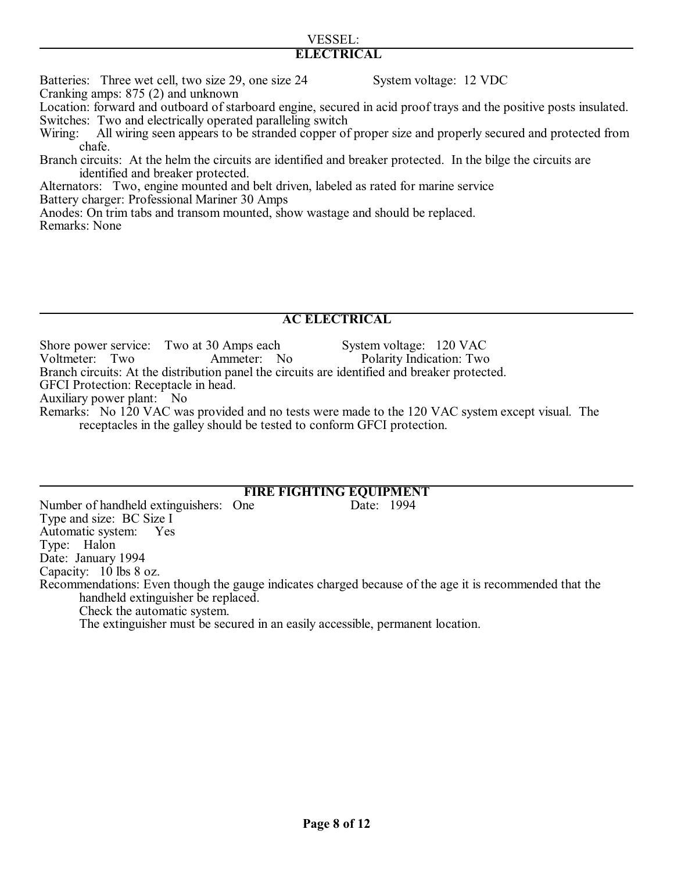# VESSEL:

# **ELECTRICAL**

Batteries: Three wet cell, two size 29, one size 24 System voltage: 12 VDC

Cranking amps: 875 (2) and unknown

Location: forward and outboard of starboard engine, secured in acid proof trays and the positive posts insulated. Switches: Two and electrically operated paralleling switch

- Wiring: All wiring seen appears to be stranded copper of proper size and properly secured and protected from chafe.
- Branch circuits: At the helm the circuits are identified and breaker protected. In the bilge the circuits are identified and breaker protected.

Alternators: Two, engine mounted and belt driven, labeled as rated for marine service Battery charger: Professional Mariner 30 Amps

Anodes: On trim tabs and transom mounted, show wastage and should be replaced.

Remarks: None

# **AC ELECTRICAL**

Shore power service: Two at 30 Amps each System voltage: 120 VAC<br>Voltmeter: Two Ammeter: No Polarity Indication: Two Ammeter: No Polarity Indication: Two

Branch circuits: At the distribution panel the circuits are identified and breaker protected.

GFCI Protection: Receptacle in head.

Auxiliary power plant: No

Remarks: No 120 VAC was provided and no tests were made to the 120 VAC system except visual. The receptacles in the galley should be tested to conform GFCI protection.

# **FIRE FIGHTING EQUIPMENT**

Number of handheld extinguishers: One Date: 1994 Type and size: BC Size I Automatic system: Yes Type: Halon Date: January 1994 Capacity: 10 lbs 8 oz. Recommendations: Even though the gauge indicates charged because of the age it is recommended that the handheld extinguisher be replaced. Check the automatic system.

The extinguisher must be secured in an easily accessible, permanent location.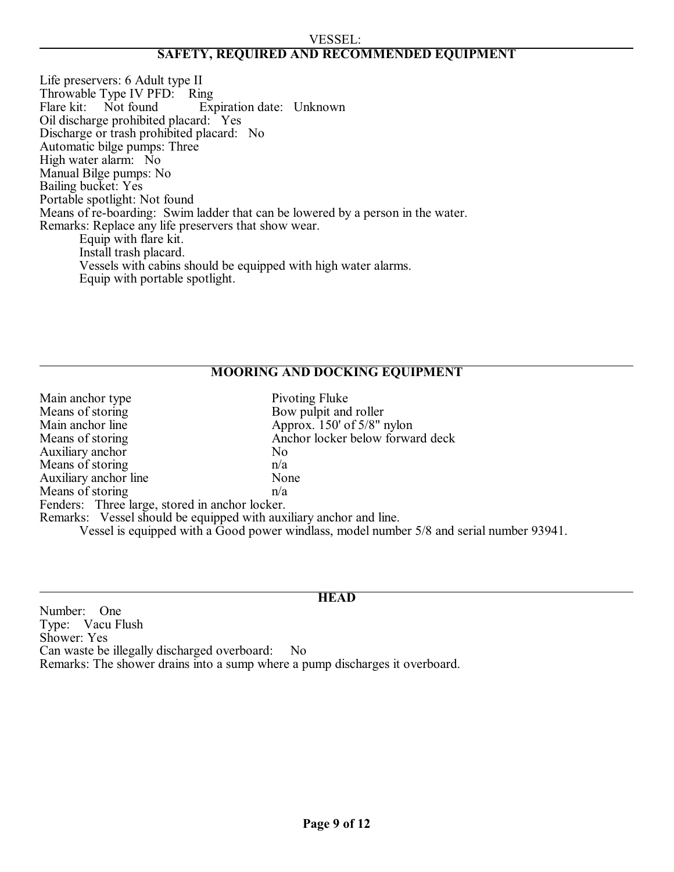#### VESSEL: **SAFETY, REQUIRED AND RECOMMENDED EQUIPMENT**

Life preservers: 6 Adult type II Throwable Type IV PFD: Ring<br>Flare kit: Not found Exp Expiration date: Unknown Oil discharge prohibited placard: Yes Discharge or trash prohibited placard: No Automatic bilge pumps: Three High water alarm: No Manual Bilge pumps: No Bailing bucket: Yes Portable spotlight: Not found Means of re-boarding: Swim ladder that can be lowered by a person in the water. Remarks: Replace any life preservers that show wear. Equip with flare kit. Install trash placard. Vessels with cabins should be equipped with high water alarms.

Equip with portable spotlight.

#### **MOORING AND DOCKING EQUIPMENT**

| Main anchor type                                                   | Pivoting Fluke                                                                           |
|--------------------------------------------------------------------|------------------------------------------------------------------------------------------|
| Means of storing                                                   | Bow pulpit and roller                                                                    |
| Main anchor line                                                   | Approx. $150'$ of $5/8''$ nylon                                                          |
| Means of storing                                                   | Anchor locker below forward deck                                                         |
| Auxiliary anchor                                                   | N <sub>0</sub>                                                                           |
| Means of storing                                                   | n/a                                                                                      |
| Auxiliary anchor line                                              | None                                                                                     |
| Means of storing                                                   | n/a                                                                                      |
| Fenders: Three large, stored in anchor locker.                     |                                                                                          |
| Remarks: Vessel should be equipped with auxiliary anchor and line. |                                                                                          |
|                                                                    | Vessel is equipped with a Good power windlass, model number 5/8 and serial number 93941. |

#### **HEAD**

Number: One Type: Vacu Flush Shower: Yes Can waste be illegally discharged overboard: No Remarks: The shower drains into a sump where a pump discharges it overboard.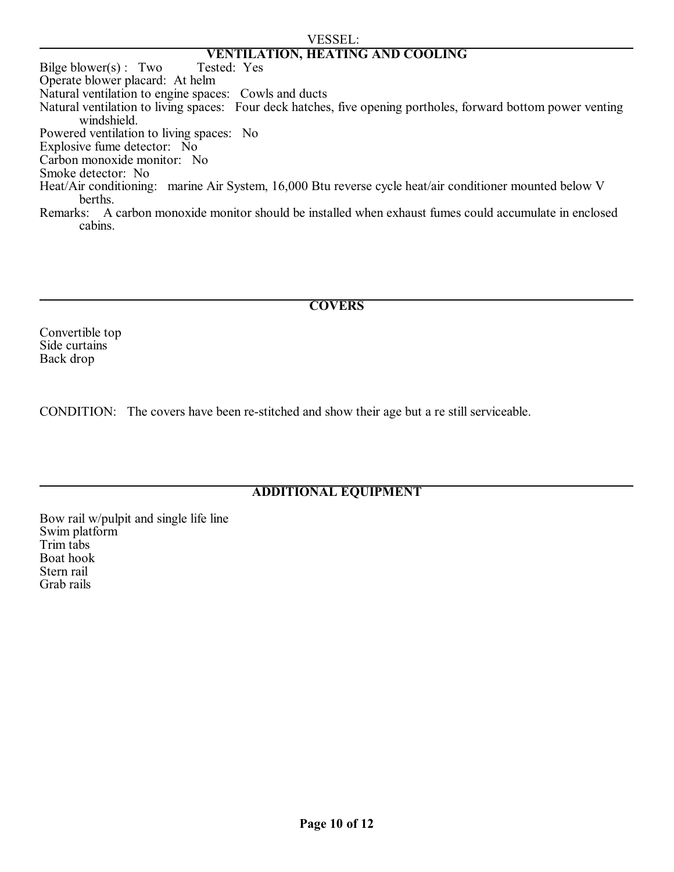#### VESSEL:

# **VENTILATION, HEATING AND COOLING**

Bilge blower $(s)$ : Two Operate blower placard: At helm Natural ventilation to engine spaces: Cowls and ducts Natural ventilation to living spaces: Four deck hatches, five opening portholes, forward bottom power venting windshield. Powered ventilation to living spaces: No Explosive fume detector: No Carbon monoxide monitor: No Smoke detector: No Heat/Air conditioning: marine Air System, 16,000 Btu reverse cycle heat/air conditioner mounted below V berths. Remarks: A carbon monoxide monitor should be installed when exhaust fumes could accumulate in enclosed cabins.

#### **COVERS**

Convertible top Side curtains Back drop

CONDITION: The covers have been re-stitched and show their age but a re still serviceable.

# **ADDITIONAL EQUIPMENT**

Bow rail w/pulpit and single life line Swim platform Trim tabs Boat hook Stern rail Grab rails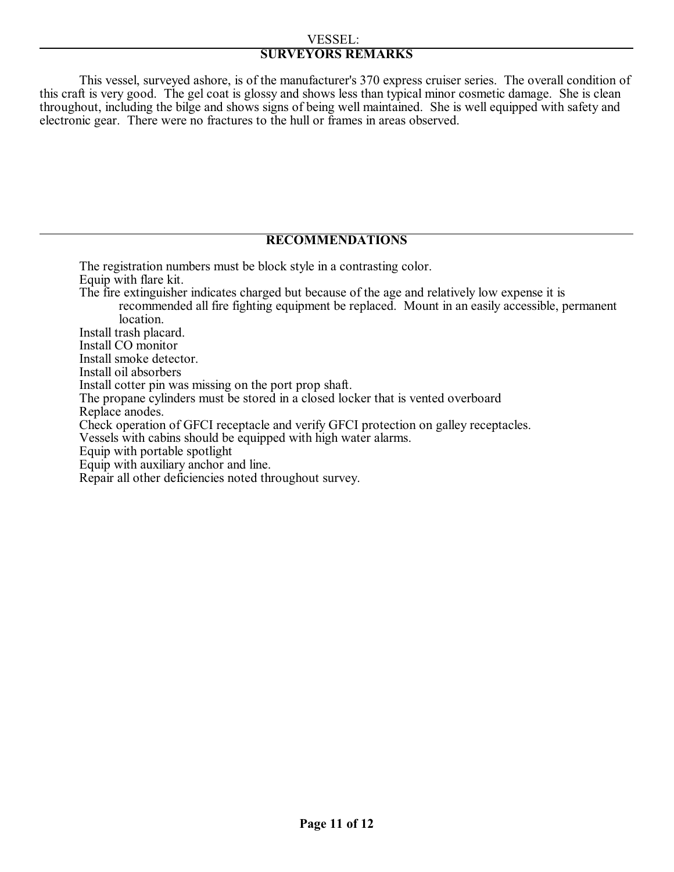#### VESSEL: **SURVEYORS REMARKS**

This vessel, surveyed ashore, is of the manufacturer's 370 express cruiser series. The overall condition of this craft is very good. The gel coat is glossy and shows less than typical minor cosmetic damage. She is clean throughout, including the bilge and shows signs of being well maintained. She is well equipped with safety and electronic gear. There were no fractures to the hull or frames in areas observed.

#### **RECOMMENDATIONS**

The registration numbers must be block style in a contrasting color. Equip with flare kit. The fire extinguisher indicates charged but because of the age and relatively low expense it is recommended all fire fighting equipment be replaced. Mount in an easily accessible, permanent location. Install trash placard. Install CO monitor Install smoke detector. Install oil absorbers Install cotter pin was missing on the port prop shaft. The propane cylinders must be stored in a closed locker that is vented overboard Replace anodes. Check operation of GFCI receptacle and verify GFCI protection on galley receptacles. Vessels with cabins should be equipped with high water alarms. Equip with portable spotlight Equip with auxiliary anchor and line. Repair all other deficiencies noted throughout survey.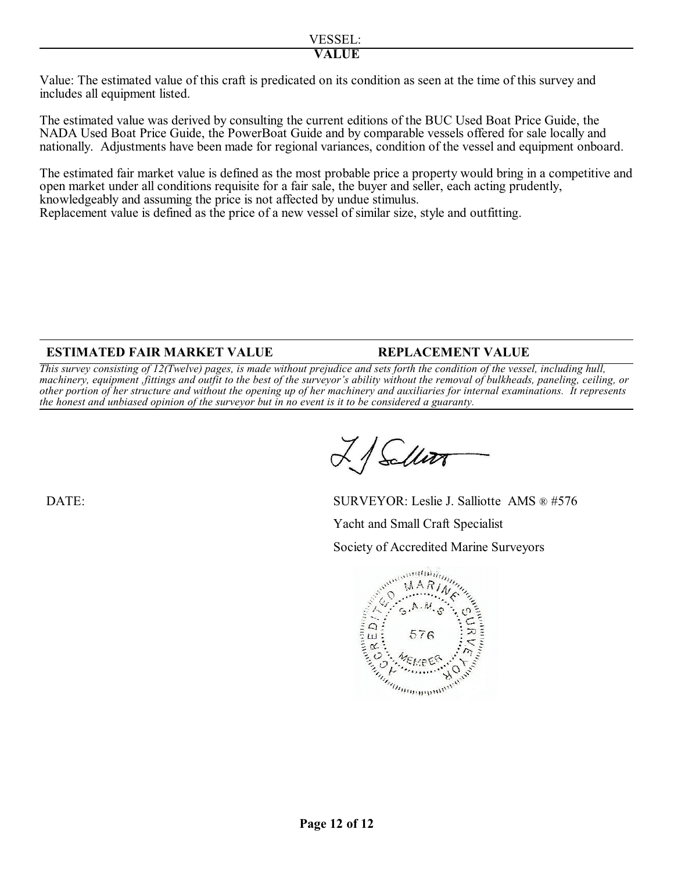Value: The estimated value of this craft is predicated on its condition as seen at the time of this survey and includes all equipment listed.

The estimated value was derived by consulting the current editions of the BUC Used Boat Price Guide, the NADA Used Boat Price Guide, the PowerBoat Guide and by comparable vessels offered for sale locally and nationally. Adjustments have been made for regional variances, condition of the vessel and equipment onboard.

The estimated fair market value is defined as the most probable price a property would bring in a competitive and open market under all conditions requisite for a fair sale, the buyer and seller, each acting prudently, knowledgeably and assuming the price is not affected by undue stimulus.

Replacement value is defined as the price of a new vessel of similar size, style and outfitting.

# **ESTIMATED FAIR MARKET VALUE REPLACEMENT VALUE**

This survey consisting of 12(Twelve) pages, is made without prejudice and sets forth the condition of the vessel, including hull, machinery, equipment fittings and outfit to the best of the surveyor's ability without the removal of bulkheads, paneling, ceiling, or *other portion of her structure and without the opening up of her machinery and auxiliaries for internal examinations. It represents the honest and unbiased opinion of the surveyor but in no event is it to be considered a guaranty.*

Sallin

DATE: SURVEYOR: Leslie J. Salliotte AMS ® #576 Yacht and Small Craft Specialist Society of Accredited Marine Surveyors